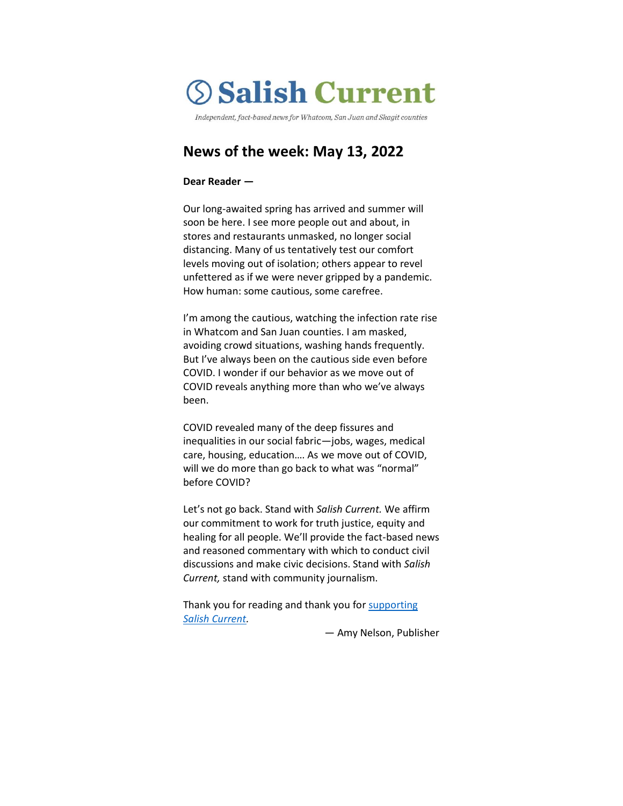# **Salish Current**

Independent, fact-based news for Whatcom, San Juan and Skagit counties

# **News of the week: May 13, 2022**

#### **Dear Reader —**

Our long-awaited spring has arrived and summer will soon be here. I see more people out and about, in stores and restaurants unmasked, no longer social distancing. Many of us tentatively test our comfort levels moving out of isolation; others appear to revel unfettered as if we were never gripped by a pandemic. How human: some cautious, some carefree.

I'm among the cautious, watching the infection rate rise in Whatcom and San Juan counties. I am masked, avoiding crowd situations, washing hands frequently. But I've always been on the cautious side even before COVID. I wonder if our behavior as we move out of COVID reveals anything more than who we've always been.

COVID revealed many of the deep fissures and inequalities in our social fabric—jobs, wages, medical care, housing, education…. As we move out of COVID, will we do more than go back to what was "normal" before COVID?

Let's not go back. Stand with *Salish Current.* We affirm our commitment to work for truth justice, equity and healing for all people. We'll provide the fact-based news and reasoned commentary with which to conduct civil discussions and make civic decisions. Stand with *Salish Current,* stand with community journalism.

Thank you for reading and thank you for supporting *[Salish Current.](https://salish-current.org/donate)*

— Amy Nelson, Publisher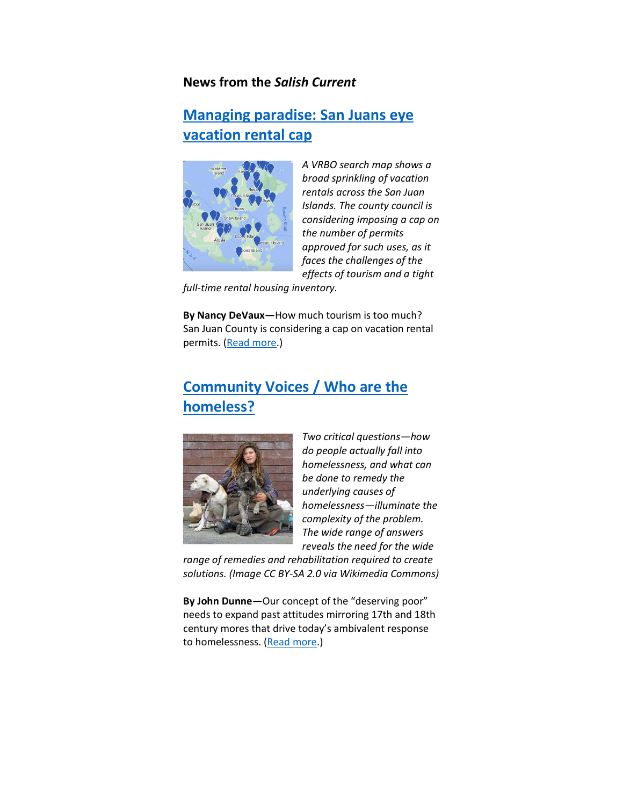## **News from the** *Salish Current*

## **[Managing paradise: San Juans](https://salish-current.org/2022/05/12/managing-paradise-san-juan-eyes-vacation-rental-cap/) eye [vacation rental cap](https://salish-current.org/2022/05/12/managing-paradise-san-juan-eyes-vacation-rental-cap/)**



*A VRBO search map shows a broad sprinkling of vacation rentals across the San Juan Islands. The county council is considering imposing a cap on the number of permits approved for such uses, as it faces the challenges of the effects of tourism and a tight* 

*full-time rental housing inventory.*

**By Nancy DeVaux—**How much tourism is too much? San Juan County is considering a cap on vacation rental permits. [\(Read more.](https://salish-current.org/2022/05/12/managing-paradise-san-juan-eyes-vacation-rental-cap/))

# **[Community Voices / Who are the](https://salish-current.org/2022/05/11/who-are-the-homeless/)  [homeless?](https://salish-current.org/2022/05/11/who-are-the-homeless/)**



*Two critical questions—how do people actually fall into homelessness, and what can be done to remedy the underlying causes of homelessness—illuminate the complexity of the problem. The wide range of answers reveals the need for the wide* 

*range of remedies and rehabilitation required to create solutions. (Image CC BY-SA 2.0 via Wikimedia Commons)*

**By John Dunne—**Our concept of the "deserving poor" needs to expand past attitudes mirroring 17th and 18th century mores that drive today's ambivalent response to homelessness. [\(Read more.](https://salish-current.org/2022/05/11/who-are-the-homeless/))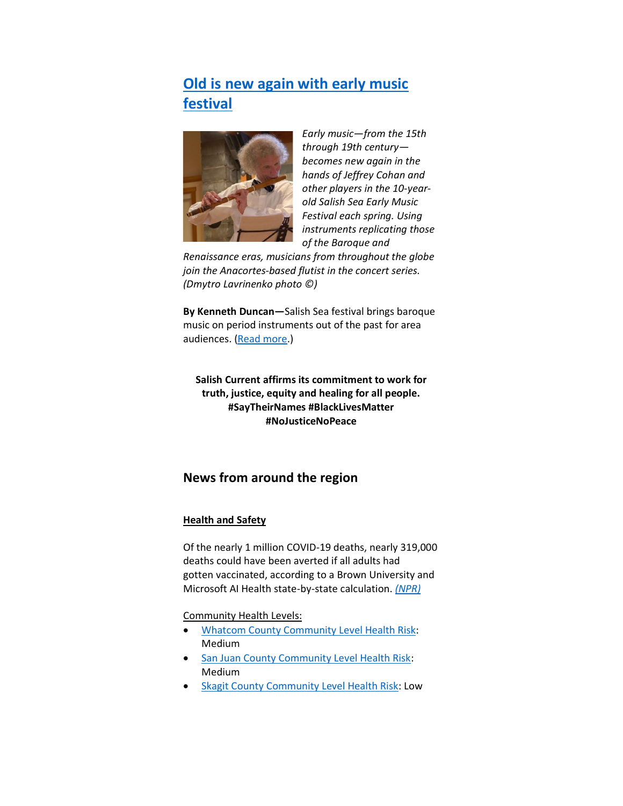# **[Old is new again with early music](https://salish-current.org/2022/05/13/old-is-new-again-with-early-music-festival/)  [festival](https://salish-current.org/2022/05/13/old-is-new-again-with-early-music-festival/)**



*Early music—from the 15th through 19th century becomes new again in the hands of Jeffrey Cohan and other players in the 10-yearold Salish Sea Early Music Festival each spring. Using instruments replicating those of the Baroque and* 

*Renaissance eras, musicians from throughout the globe join the Anacortes-based flutist in the concert series. (Dmytro Lavrinenko photo ©)*

**By Kenneth Duncan—**Salish Sea festival brings baroque music on period instruments out of the past for area audiences. [\(Read more.](https://salish-current.org/2022/05/13/old-is-new-again-with-early-music-festival/))

**Salish Current affirms its commitment to work for truth, justice, equity and healing for all people. #SayTheirNames #BlackLivesMatter #NoJusticeNoPeace**

## **News from around the region**

### **Health and Safety**

Of the nearly 1 million COVID-19 deaths, nearly 319,000 deaths could have been averted if all adults had gotten vaccinated, according to a Brown University and Microsoft AI Health state-by-state calculation. *[\(NPR\)](https://www.knkx.org/2022-05-13/this-is-how-many-lives-could-have-been-saved-with-covid-vaccinations-in-each-state)*

Community Health Levels:

- [Whatcom County Community Level Health Risk:](https://covidactnow.org/us/washington-wa/county/whatcom_county/?s=32682088) Medium
- [San Juan County Community Level Health Risk:](https://covidactnow.org/us/washington-wa/county/san_juan_county/?s=32682088) Medium
- **[Skagit County Community Level Health Risk:](https://covidactnow.org/us/washington-wa/county/skagit_county/?s=32682088) Low**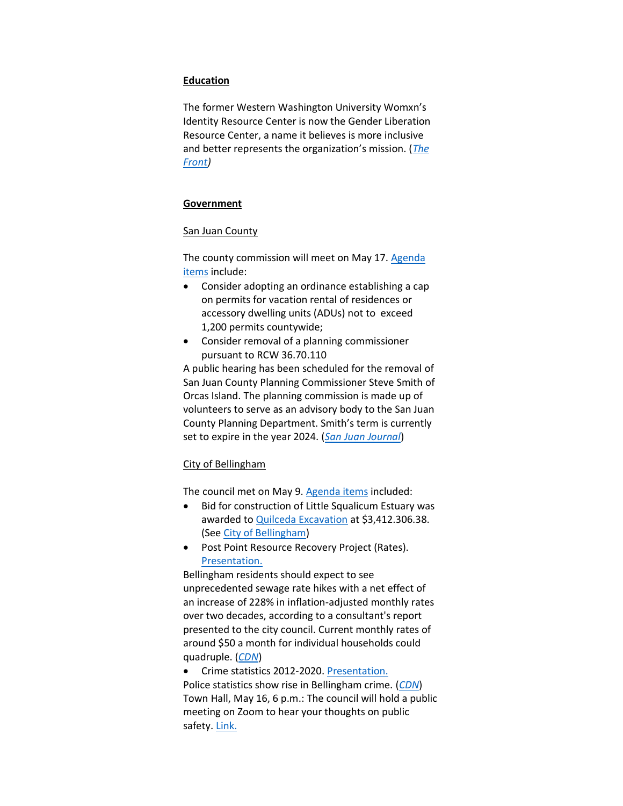#### **Education**

The former Western Washington University Womxn's Identity Resource Center is now the Gender Liberation Resource Center, a name it believes is more inclusive and better represents the organization's mission. (*[The](https://www.westernfrontonline.com/article/2022/05/gender-liberation-resource-center-adopts-new-name)  [Front\)](https://www.westernfrontonline.com/article/2022/05/gender-liberation-resource-center-adopts-new-name)*

#### **Government**

#### San Juan County

The county commission will meet on May 17. [Agenda](https://media.avcaptureall.cloud/meeting/3eda05ad-87c6-4b0a-b21a-0f546945c808)  [items](https://media.avcaptureall.cloud/meeting/3eda05ad-87c6-4b0a-b21a-0f546945c808) include:

- Consider adopting an ordinance establishing a cap on permits for vacation rental of residences or accessory dwelling units (ADUs) not to exceed 1,200 permits countywide;
- Consider removal of a planning commissioner pursuant to RCW 36.70.110

A public hearing has been scheduled for the removal of San Juan County Planning Commissioner Steve Smith of Orcas Island. The planning commission is made up of volunteers to serve as an advisory body to the San Juan County Planning Department. Smith's term is currently set to expire in the year 2024. (*[San Juan Journal](https://www.sanjuanjournal.com/news/public-hearing-scheduled-to-remove-orcas-planning-commissioner/)*)

#### City of Bellingham

The council met on May 9. [Agenda items](https://meetings.cob.org/Meetings/ViewMeeting?id=2679&doctype=1) included:

- Bid for construction of Little Squalicum Estuary was awarded t[o Quilceda Excavation](https://meetings.cob.org/Documents/ViewDocument/Attachment%20-%20FINAL%20BID%20OPENING%20REPORT%20-%20AB_%2023335.pdf?meetingId=2679&documentType=Agenda&itemId=24354&publishId=25630&isSection=false) at \$3,412.306.38. (See [City of Bellingham\)](https://cob.org/news/2022/construction-of-little-squalicum-estuary-project-begins-june-2022)
- Post Point Resource Recovery Project (Rates). [Presentation.](https://meetings.cob.org/Documents/ViewDocument/Attachment%20-%20WASTEWATER%20RATE%20FORECAST%20UPDATE%20PRESENTATION%20-%20AB_.pdf?meetingId=2679&documentType=Agenda&itemId=24357&publishId=25642&isSection=false)

Bellingham residents should expect to see unprecedented sewage rate hikes with a net effect of an increase of 228% in inflation-adjusted monthly rates over two decades, according to a consultant's report presented to the city council. Current monthly rates of around \$50 a month for individual households could quadruple. (*[CDN](https://www.cascadiadaily.com/news/2022/may/10/post-point-project-rate-hikes-are-coming/)*)

• Crime statistics 2012-2020[. Presentation.](https://meetings.cob.org/Documents/ViewDocument/Attachment%20-%20PRESENTATION%20-%20AB_%2023339.pdf?meetingId=2679&documentType=Agenda&itemId=24385&publishId=25646&isSection=false) Police statistics show rise in Bellingham crime. (*[CDN](https://www.cascadiadaily.com/news/2022/may/11/uptick-in-crime-has-city-officials-talking/)*) Town Hall, May 16, 6 p.m.: The council will hold a public meeting on Zoom to hear your thoughts on public safety. [Link.](https://www.cob.org/event/cctownh)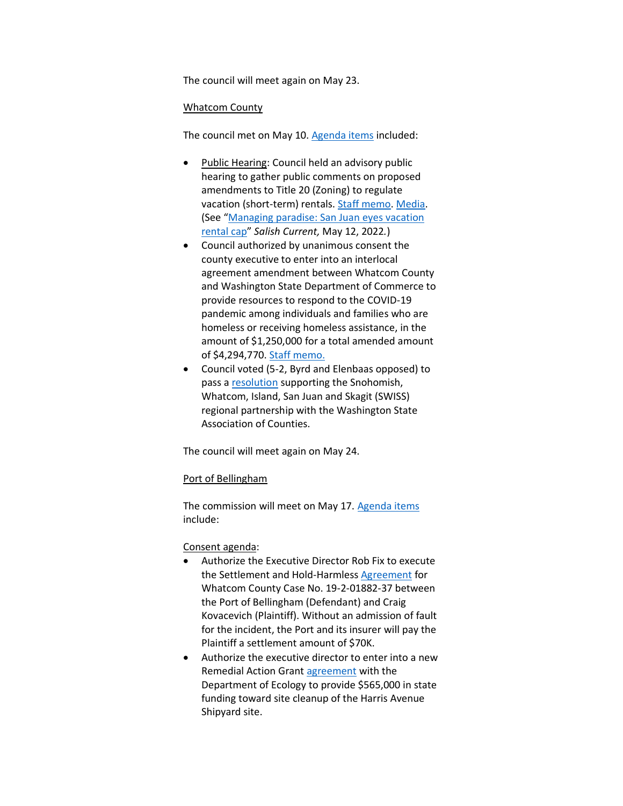The council will meet again on May 23.

#### Whatcom County

The council met on May 10. [Agenda items](https://whatcom.legistar.com/View.ashx?M=E2&ID=899866&GUID=05597A6A-224A-471D-AB3F-3A6A0DA1F3B7) included:

- Public Hearing: Council held an advisory public hearing to gather public comments on proposed amendments to Title 20 (Zoning) to regulate vacation (short-term) rentals. [Staff memo.](https://whatcom.legistar.com/View.ashx?M=F&ID=10864512&GUID=70CC9588-7E8C-47B2-B58D-C2FA0D5339D2) [Media.](http://whatcom.granicus.com/player/clip/738?view_id=1&meta_id=95114&redirect=true) (See "[Managing paradise: San Juan eyes vacation](https://salish-current.org/2022/05/12/managing-paradise-san-juan-eyes-vacation-rental-cap/)  [rental cap](https://salish-current.org/2022/05/12/managing-paradise-san-juan-eyes-vacation-rental-cap/)" *Salish Current,* May 12, 2022*.*)
- Council authorized by unanimous consent the county executive to enter into an interlocal agreement amendment between Whatcom County and Washington State Department of Commerce to provide resources to respond to the COVID-19 pandemic among individuals and families who are homeless or receiving homeless assistance, in the amount of \$1,250,000 for a total amended amount of \$4,294,770. [Staff memo.](https://whatcom.legistar.com/View.ashx?M=F&ID=10864778&GUID=AC6603DA-546B-40E9-A62C-4566DA794F0D)
- Council voted (5-2, Byrd and Elenbaas opposed) to pass a [resolution](https://whatcom.legistar.com/View.ashx?M=F&ID=10888324&GUID=5384438A-1542-4EB2-B5D6-6A1BDEB5DCE5) supporting the Snohomish, Whatcom, Island, San Juan and Skagit (SWISS) regional partnership with the Washington State Association of Counties.

The council will meet again on May 24.

#### Port of Bellingham

The commission will meet on May 17. [Agenda items](https://www.portofbellingham.com/AgendaCenter/ViewFile/Agenda/_05172022-515) include:

#### Consent agenda:

- Authorize the Executive Director Rob Fix to execute the Settlement and Hold-Harmless [Agreement](https://www.portofbellingham.com/DocumentCenter/View/11535/B) for Whatcom County Case No. 19-2-01882-37 between the Port of Bellingham (Defendant) and Craig Kovacevich (Plaintiff). Without an admission of fault for the incident, the Port and its insurer will pay the Plaintiff a settlement amount of \$70K.
- Authorize the executive director to enter into a new Remedial Action Grant [agreement](https://www.portofbellingham.com/DocumentCenter/View/11530/E) with the Department of Ecology to provide \$565,000 in state funding toward site cleanup of the Harris Avenue Shipyard site.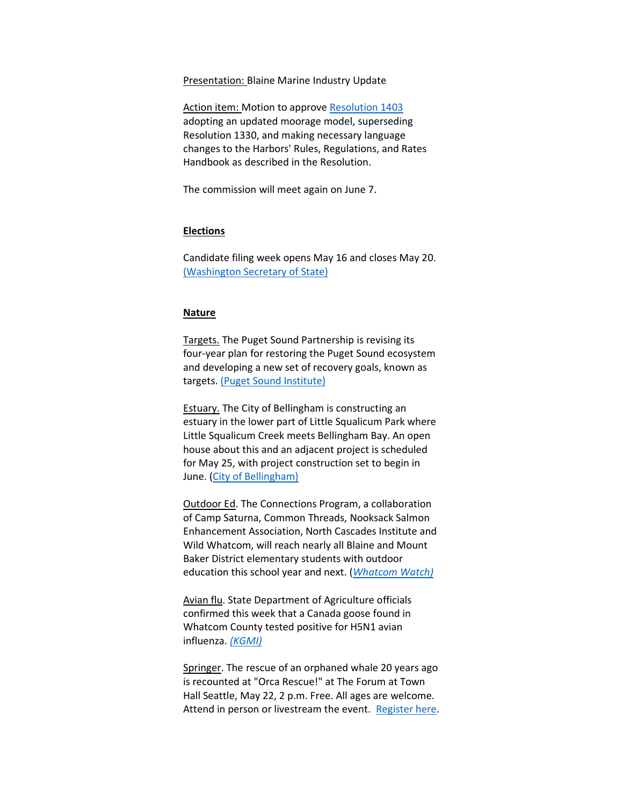Presentation: Blaine Marine Industry Update

Action item: Motion to approve [Resolution 1403](https://www.portofbellingham.com/DocumentCenter/View/11537/1) adopting an updated moorage model, superseding Resolution 1330, and making necessary language changes to the Harbors' Rules, Regulations, and Rates Handbook as described in the Resolution.

The commission will meet again on June 7.

#### **Elections**

Candidate filing week opens May 16 and closes May 20. [\(Washington Secretary of State\)](https://www.sos.wa.gov/elections/candidates/candidate-filing-faq.aspx)

#### **Nature**

Targets. The Puget Sound Partnership is revising its four-year plan for restoring the Puget Sound ecosystem and developing a new set of recovery goals, known as targets[. \(Puget Sound Institute\)](https://www.pugetsoundinstitute.org/2022/05/new-puget-sound-action-agenda-will-include-revised-targets-to-express-recovery-goals/)

**Estuary.** The City of Bellingham is constructing an estuary in the lower part of Little Squalicum Park where Little Squalicum Creek meets Bellingham Bay. An open house about this and an adjacent project is scheduled for May 25, with project construction set to begin in June. [\(City of Bellingham\)](https://cob.org/news/2022/construction-of-little-squalicum-estuary-project-begins-june-2022)

Outdoor Ed. The Connections Program, a collaboration of Camp Saturna, Common Threads, Nooksack Salmon Enhancement Association, North Cascades Institute and Wild Whatcom, will reach nearly all Blaine and Mount Baker District elementary students with outdoor education this school year and next. (*[Whatcom Watch\)](https://www.whatcomtalk.com/2022/05/10/outdoor-education-expands-in-whatcom-county/)*

Avian flu. State Department of Agriculture officials confirmed this week that a Canada goose found in Whatcom County tested positive for H5N1 avian influenza. *[\(KGMI\)](https://kgmi.com/news/007700-wsda-confirms-first-case-of-bird-flu-in-whatcom-county/)*

Springer. The rescue of an orphaned whale 20 years ago is recounted at "Orca Rescue!" at The Forum at Town Hall Seattle, May 22, 2 p.m. Free. All ages are welcome. Attend in person or livestream the event. [Register here.](http://knkx.org/springer)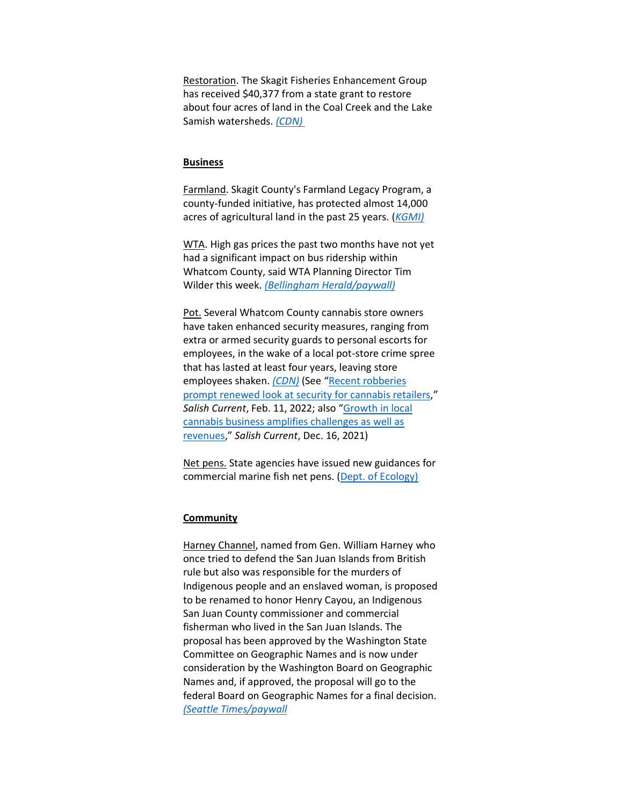Restoration. The Skagit Fisheries Enhancement Group has received \$40,377 from a state grant to restore about four acres of land in the Coal Creek and the Lake Samish watersheds. *[\(CDN\)](https://www.cascadiadaily.com/news/2022/may/12/skagit-conservation-group-receives-restoration-grant/)*

#### **Business**

Farmland. Skagit County's Farmland Legacy Program, a county-funded initiative, has protected almost 14,000 acres of agricultural land in the past 25 years. (*[KGMI\)](https://kgmi.com/news/007700-skagit-county-marks-25-years-of-farmland-preservation/)*

WTA. High gas prices the past two months have not yet had a significant impact on bus ridership within Whatcom County, said WTA Planning Director Tim Wilder this week. *[\(Bellingham Herald/paywall\)](https://www.bellinghamherald.com/news/local/article261344607.html)*

Pot. Several Whatcom County cannabis store owners have taken enhanced security measures, ranging from extra or armed security guards to personal escorts for employees, in the wake of a local pot-store crime spree that has lasted at least four years, leaving store employees shaken. *[\(CDN\)](https://www.cascadiadaily.com/news/2022/may/12/pot-store-owners-beef-up-security/)* (See "Recent robberies [prompt renewed look at security for cannabis retailers](https://salish-current.org/2022/02/11/recent-robberies-prompt-renewed-look-at-security-for-cannabis-retailers/)," *Salish Current*, Feb. 11, 2022; also "[Growth in local](https://salish-current.org/2022/02/11/recent-robberies-prompt-renewed-look-at-security-for-cannabis-retailers/)  [cannabis business amplifies challenges as well as](https://salish-current.org/2022/02/11/recent-robberies-prompt-renewed-look-at-security-for-cannabis-retailers/)  [revenues](https://salish-current.org/2022/02/11/recent-robberies-prompt-renewed-look-at-security-for-cannabis-retailers/)," *Salish Current*, Dec. 16, 2021)

Net pens. State agencies have issued new guidances for commercial marine fish net pens. [\(Dept. of Ecology\)](https://ecology.wa.gov/Blog/Posts/May-2022/State-provides-new-guidance-for-commercial-marine?utm_medium=email&utm_source=govdelivery)

#### **Community**

Harney Channel, named from Gen. William Harney who once tried to defend the San Juan Islands from British rule but also was responsible for the murders of Indigenous people and an enslaved woman, is proposed to be renamed to honor Henry Cayou, an Indigenous San Juan County commissioner and commercial fisherman who lived in the San Juan Islands. The proposal has been approved by the Washington State Committee on Geographic Names and is now under consideration by the Washington Board on Geographic Names and, if approved, the proposal will go to the federal Board on Geographic Names for a final decision. *[\(Seattle Times/paywall](/Users/amynelson/Desktop/)%20https:/www.seattletimes.com/seattle-news/san-juan-islands-waterway-could-be-renamed-to-honor-indigenous-leader)*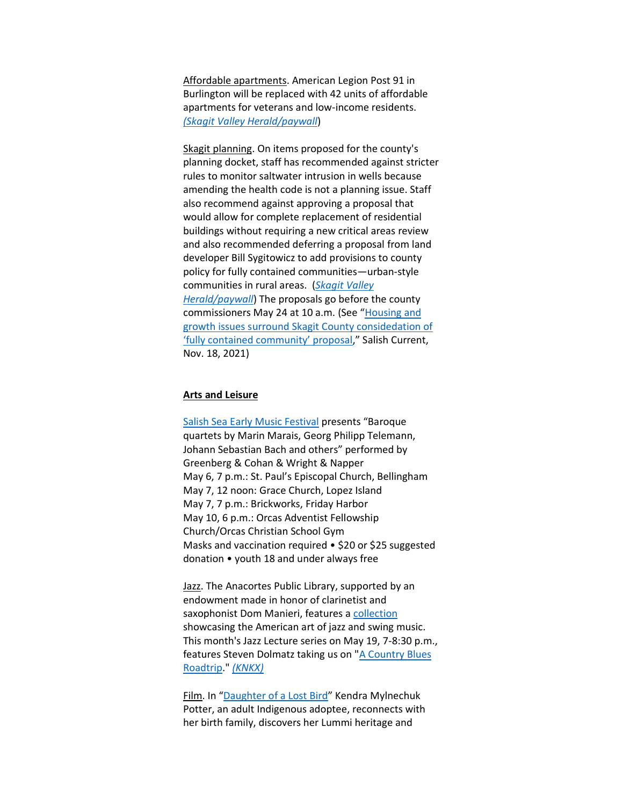Affordable apartments. American Legion Post 91 in Burlington will be replaced with 42 units of affordable apartments for veterans and low-income residents. *[\(Skagit Valley Herald/paywall](https://www.goskagit.com/news/local_news/american-legion-post-91-in-burlington-to-be-rebuilt-as-affordable-housing/article_4282efb1-6d2d-55b4-a245-477fd735791b.html)*)

Skagit planning. On items proposed for the county's planning docket, staff has recommended against stricter rules to monitor saltwater intrusion in wells because amending the health code is not a planning issue. Staff also recommend against approving a proposal that would allow for complete replacement of residential buildings without requiring a new critical areas review and also recommended deferring a proposal from land developer Bill Sygitowicz to add provisions to county policy for fully contained communities—urban-style communities in rural areas. (*[Skagit Valley](https://www.goskagit.com/news/local_news/skagit-county-staff-make-recommendations-on-proposed-changes-to-comprehensive-plan/article_6cdb8564-1768-535d-9c02-e483096054d3.html)  [Herald/paywall](https://www.goskagit.com/news/local_news/skagit-county-staff-make-recommendations-on-proposed-changes-to-comprehensive-plan/article_6cdb8564-1768-535d-9c02-e483096054d3.html)*) The proposals go before the county commissioners May 24 at 10 a.m. (See "[Housing and](https://salish-current.org/2021/11/18/housing-and-growth-issues-surround-skagit-county-consideration-of-fully-contained-community-proposal/)  [growth issues surround Skagit County considedation of](https://salish-current.org/2021/11/18/housing-and-growth-issues-surround-skagit-county-consideration-of-fully-contained-community-proposal/)  ['fully contained community' proposal,](https://salish-current.org/2021/11/18/housing-and-growth-issues-surround-skagit-county-consideration-of-fully-contained-community-proposal/)" Salish Current, Nov. 18, 2021)

#### **Arts and Leisure**

[Salish Sea Early Music Festival](http://salishseafestival.org/) presents "Baroque quartets by Marin Marais, Georg Philipp Telemann, Johann Sebastian Bach and others" performed by Greenberg & Cohan & Wright & Napper May 6, 7 p.m.: St. Paul's Episcopal Church, Bellingham May 7, 12 noon: Grace Church, Lopez Island May 7, 7 p.m.: Brickworks, Friday Harbor May 10, 6 p.m.: Orcas Adventist Fellowship Church/Orcas Christian School Gym Masks and vaccination required • \$20 or \$25 suggested donation • youth 18 and under always free

Jazz. The Anacortes Public Library, supported by an endowment made in honor of clarinetist and saxophonist Dom Manieri, features a [collection](https://jazzatthelibrary.com/) showcasing the American art of jazz and swing music. This month's Jazz Lecture series on May 19, 7-8:30 p.m., features Steven Dolmatz taking us on ["A Country Blues](https://jazzatthelibrary.com/wp-content/uploads/2022/04/May-19-Steve-Dolmatz-flyer.jpg)  [Roadtrip.](https://jazzatthelibrary.com/wp-content/uploads/2022/04/May-19-Steve-Dolmatz-flyer.jpg)" *[\(KNKX\)](https://www.knkx.org/jazz/2022-05-02/the-manieri-endowment-supports-a-jazz-collection-scholarships-and-events-in-anacortes)*

Film. In "[Daughter of a Lost Bird](https://www.youtube.com/watch?v=KknpObZRIWofollows)" Kendra Mylnechuk Potter, an adult Indigenous adoptee, reconnects with her birth family, discovers her Lummi heritage and